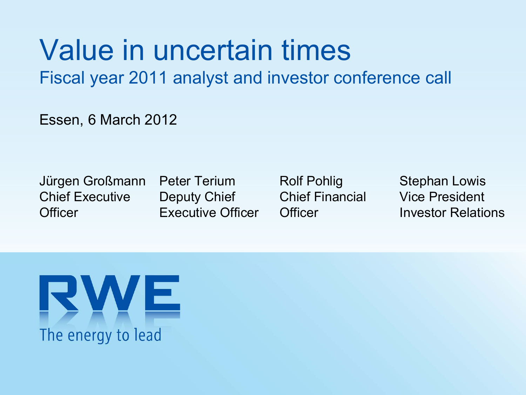# Value in uncertain times

Fiscal year 2011 analyst and investor conference call

Essen, 6 March 2012

Jürgen Großmann Chief Executive**Officer** 

Peter TeriumDeputy Chief Executive Officer Rolf Pohlig Chief Financial**Officer** 

Stephan Lowis Vice PresidentInvestor Relations

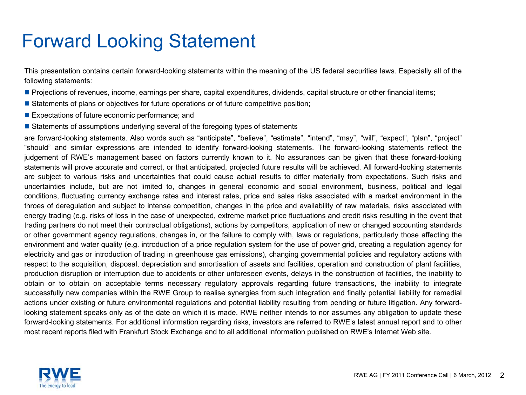### Forward Looking Statement

This presentation contains certain forward-looking statements within the meaning of the US federal securities laws. Especially all of the following statements:

- Projections of revenues, income, earnings per share, capital expenditures, dividends, capital structure or other financial items;
- **Statements of plans or objectives for future operations or of future competitive position**;
- **Expectations of future economic performance; and**
- **Statements of assumptions underlying several of the foregoing types of statements**

are forward-looking statements. Also words such as "anticipate", "believe", "estimate", "intend", "may", "will", "expect", "plan", "project" "should" and similar expressions are intended to identify forward-looking statements. The forward-looking statements reflect the judgement of RWE's management based on factors currently known to it. No assurances can be given that these forward-looking statements will prove accurate and correct, or that anticipated, projected future results will be achieved. All forward-looking statements are subject to various risks and uncertainties that could cause actual results to differ materially from expectations. Such risks and uncertainties include, but are not limited to, changes in general economic and social environment, business, political and legal conditions, fluctuating currency exchange rates and interest rates, price and sales risks associated with a market environment in the throes of deregulation and subject to intense competition, changes in the price and availability of raw materials, risks associated with energy trading (e.g. risks of loss in the case of unexpected, extreme market price fluctuations and credit risks resulting in the event that trading partners do not meet their contractual obligations), actions by competitors, application of new or changed accounting standards or other government agency regulations, changes in, or the failure to comply with, laws or regulations, particularly those affecting the environment and water quality (e.g. introduction of a price regulation system for the use of power grid, creating a regulation agency for electricity and gas or introduction of trading in greenhouse gas emissions), changing governmental policies and regulatory actions with respect to the acquisition, disposal, depreciation and amortisation of assets and facilities, operation and construction of plant facilities, production disruption or interruption due to accidents or other unforeseen events, delays in the construction of facilities, the inability to obtain or to obtain on acceptable terms necessary regulatory approvals regarding future transactions, the inability to integrate successfully new companies within the RWE Group to realise synergies from such integration and finally potential liability for remedial actions under existing or future environmental regulations and potential liability resulting from pending or future litigation. Any forwardlooking statement speaks only as of the date on which it is made. RWE neither intends to nor assumes any obligation to update these forward-looking statements. For additional information regarding risks, investors are referred to RWE's latest annual report and to other most recent reports filed with Frankfurt Stock Exchange and to all additional information published on RWE's Internet Web site.

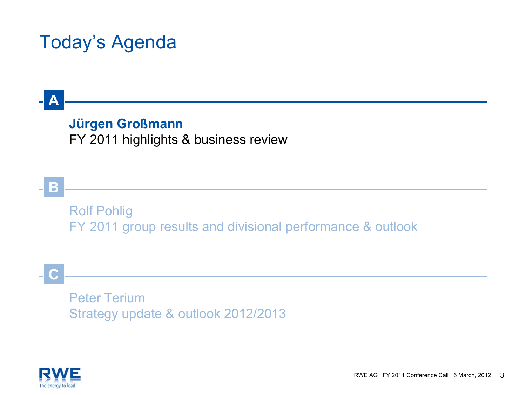### Today's Agenda

### **Jürgen Großmann** FY 2011 highlights & business review

Rolf Pohlig FY 2011 group results and divisional performance & outlook

**C**

**A**

**B**

Peter TeriumStrategy update & outlook 2012/2013

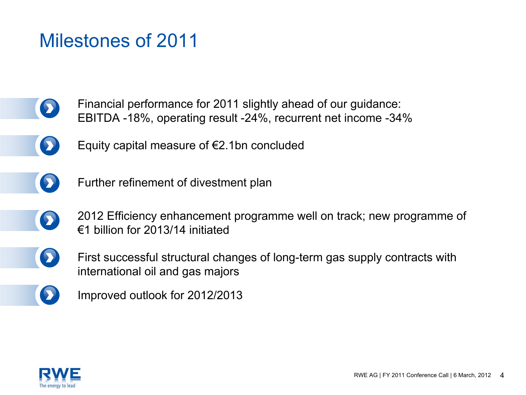### Milestones of 2011

- Financial performance for 2011 slightly ahead of our guidance:  $\bullet$ EBITDA -18%, operating result -24%, recurrent net income -34%
- - Equity capital measure of €2.1bn concluded
- $\bullet$
- Further refinement of divestment plan
- 2012 Efficiency enhancement programme well on track; new programme of €1 billion for 2013/14 initiated
- 

 $\bullet$ 

- First successful structural changes of long-term gas supply contracts with international oil and gas majors
- D Improved outlook for 2012/2013

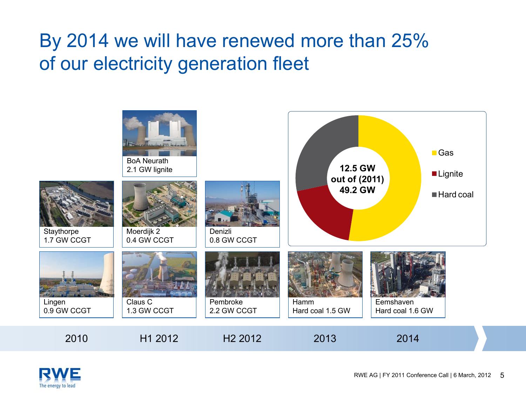### By 2014 we will have renewed more than 25% of our electricity generation fleet



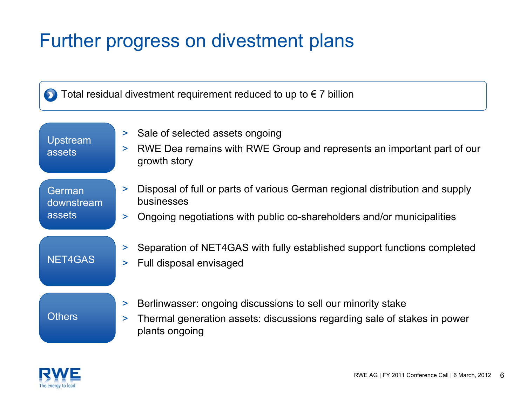### Further progress on divestment plans

Total residual divestment requirement reduced to up to  $\epsilon$  7 billion

Upstream assets

- >Sale of selected assets ongoing
- $\geq$  RWE Dea remains with RWE Group and represents an important part of our growth story

German downstream assets

- $\geq$  Disposal of full or parts of various German regional distribution and supply businesses
- $\geq$ Ongoing negotiations with public co-shareholders and/or municipalities

### NET4GAS

- >Separation of NET4GAS with fully established support functions completed
- >Full disposal envisaged

#### **Others**

- >Berlinwasser: ongoing discussions to sell our minority stake
- > Thermal generation assets: discussions regarding sale of stakes in power plants ongoing

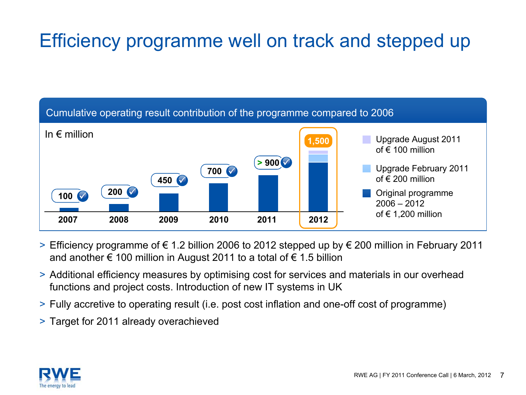### Efficiency programme well on track and stepped up



- > Efficiency programme of € 1.2 billion 2006 to 2012 stepped up by € 200 million in February 2011 and another  $\epsilon$  100 million in August 2011 to a total of  $\epsilon$  1.5 billion
- > Additional efficiency measures by optimising cost for services and materials in our overhead functions and project costs. Introduction of new IT systems in UK
- > Fully accretive to operating result (i.e. post cost inflation and one-off cost of programme)
- > Target for 2011 already overachieved

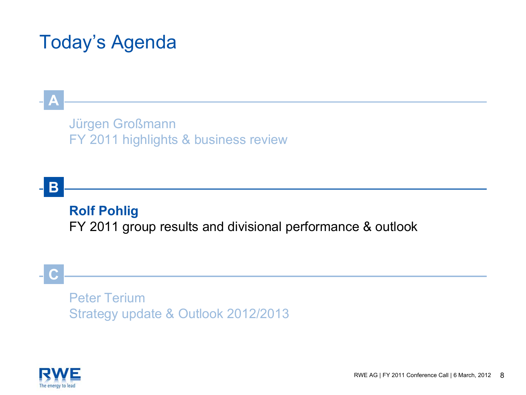### Today's Agenda

### Jürgen Großmann FY 2011 highlights & business review

### **B**

**A**

### **Rolf Pohlig**

FY 2011 group results and divisional performance & outlook

### **C**

Peter TeriumStrategy update & Outlook 2012/2013

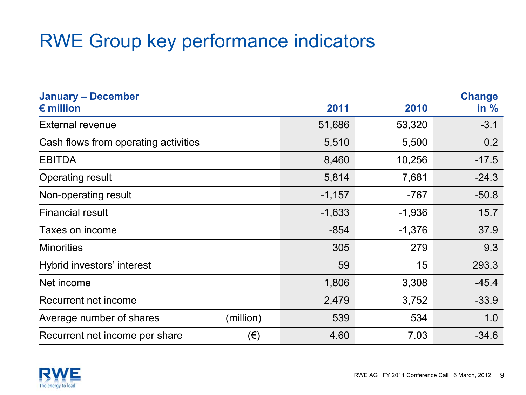### RWE Group key performance indicators

| <b>January - December</b>            |           |          |          | <b>Change</b> |
|--------------------------------------|-----------|----------|----------|---------------|
| $\epsilon$ million                   |           | 2011     | 2010     | in $%$        |
| <b>External revenue</b>              |           | 51,686   | 53,320   | $-3.1$        |
| Cash flows from operating activities |           | 5,510    | 5,500    | 0.2           |
| <b>EBITDA</b>                        |           | 8,460    | 10,256   | $-17.5$       |
| <b>Operating result</b>              |           | 5,814    | 7,681    | $-24.3$       |
| Non-operating result                 |           | $-1,157$ | $-767$   | $-50.8$       |
| <b>Financial result</b>              |           | $-1,633$ | $-1,936$ | 15.7          |
| Taxes on income                      |           | $-854$   | $-1,376$ | 37.9          |
| <b>Minorities</b>                    |           | 305      | 279      | 9.3           |
| Hybrid investors' interest           |           | 59       | 15       | 293.3         |
| Net income                           |           | 1,806    | 3,308    | $-45.4$       |
| Recurrent net income                 |           | 2,479    | 3,752    | $-33.9$       |
| Average number of shares             | (million) | 539      | 534      | 1.0           |
| Recurrent net income per share       | $(\in)$   | 4.60     | 7.03     | $-34.6$       |

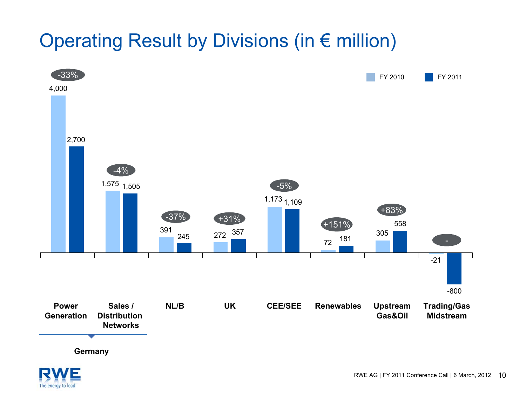### Operating Result by Divisions (in € million)



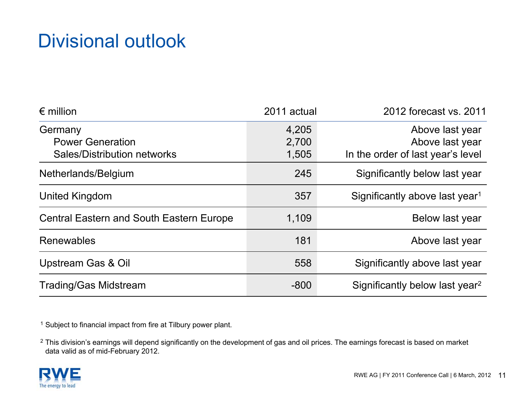### Divisional outlook

| $\epsilon$ million                                                | 2011 actual             | 2012 forecast vs. 2011                                                  |
|-------------------------------------------------------------------|-------------------------|-------------------------------------------------------------------------|
| Germany<br><b>Power Generation</b><br>Sales/Distribution networks | 4,205<br>2,700<br>1,505 | Above last year<br>Above last year<br>In the order of last year's level |
| Netherlands/Belgium                                               | 245                     | Significantly below last year                                           |
| United Kingdom                                                    | 357                     | Significantly above last year <sup>1</sup>                              |
| <b>Central Eastern and South Eastern Europe</b>                   | 1,109                   | Below last year                                                         |
| <b>Renewables</b>                                                 | 181                     | Above last year                                                         |
| Upstream Gas & Oil                                                | 558                     | Significantly above last year                                           |
| <b>Trading/Gas Midstream</b>                                      | $-800$                  | Significantly below last year <sup>2</sup>                              |

<sup>1</sup> Subject to financial impact from fire at Tilbury power plant.

 $^2$  This division's earnings will depend significantly on the development of gas and oil prices. The earnings forecast is based on market data valid as of mid-February 2012.

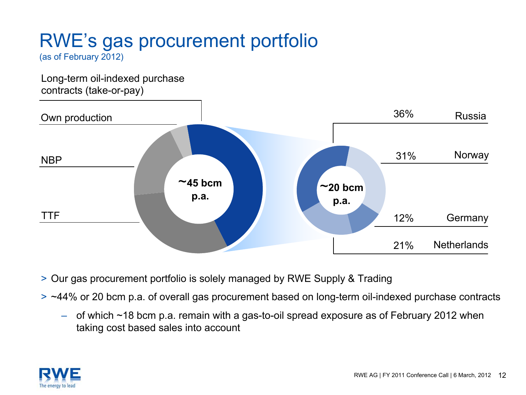# RWE's gas procurement portfolio

(as of February 2012)

Long-term oil-indexed purchase contracts (take-or-pay)



- > Our gas procurement portfolio is solely managed by RWE Supply & Trading
- > ~44% or 20 bcm p.a. of overall gas procurement based on long-term oil-indexed purchase contracts
	- – of which ~18 bcm p.a. remain with a gas-to-oil spread exposure as of February 2012 when taking cost based sales into account

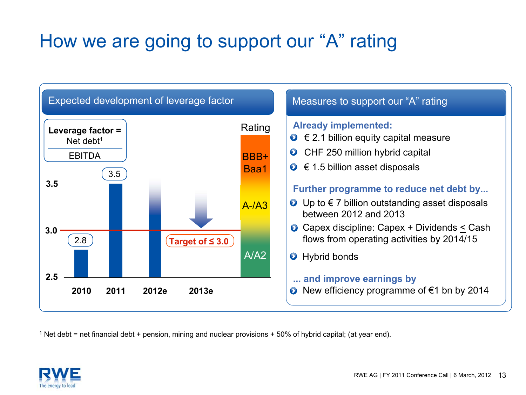### How we are going to support our "A" rating



 $^1$  Net debt = net financial debt + pension, mining and nuclear provisions + 50% of hybrid capital; (at year end).

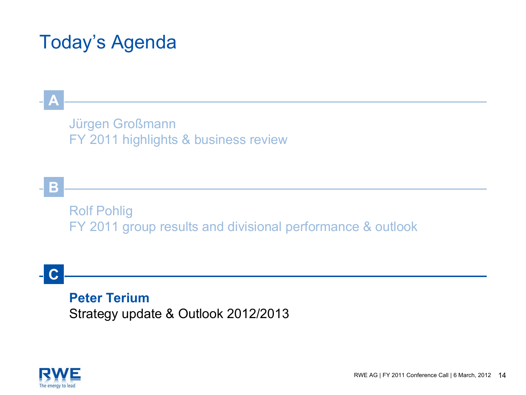### Today's Agenda

Jürgen Großmann FY 2011 highlights & business review

**B**

**A**

Rolf Pohlig FY 2011 group results and divisional performance & outlook

**C**

**Peter Terium**Strategy update & Outlook 2012/2013

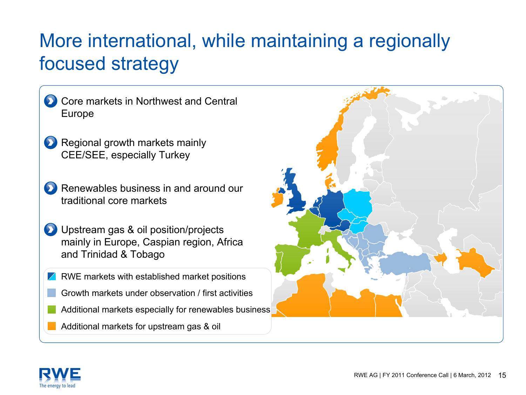### More international, while maintaining a regionally focused strategy

- Core markets in Northwest and Central Europe
- **Regional growth markets mainly** CEE/SEE, especially Turkey
- Renewables business in and around our traditional core markets
- **D** Upstream gas & oil position/projects mainly in Europe, Caspian region, Africa and Trinidad & Tobago
- $\sqrt{\phantom{a}}$  RWE markets with established market positions
	- Growth markets under observation / first activities
	- Additional markets especially for renewables business
	- Additional markets for upstream gas & oil



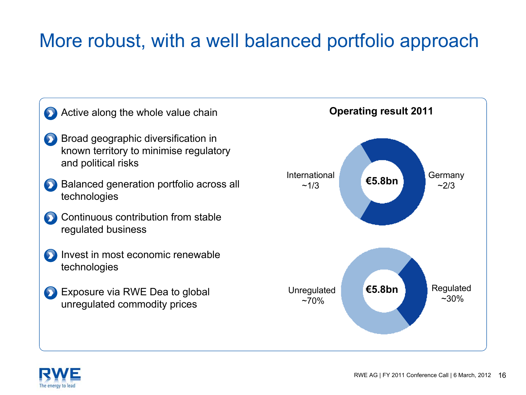### More robust, with a well balanced portfolio approach



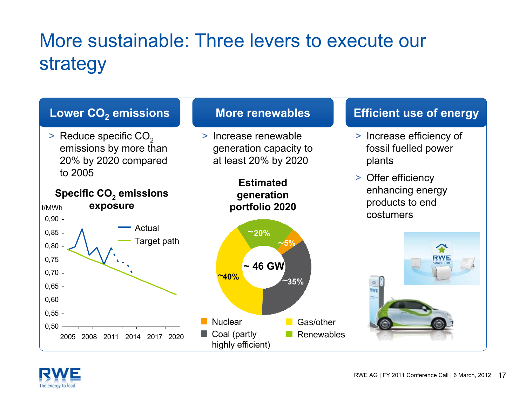# More sustainable: Three levers to execute our strategy



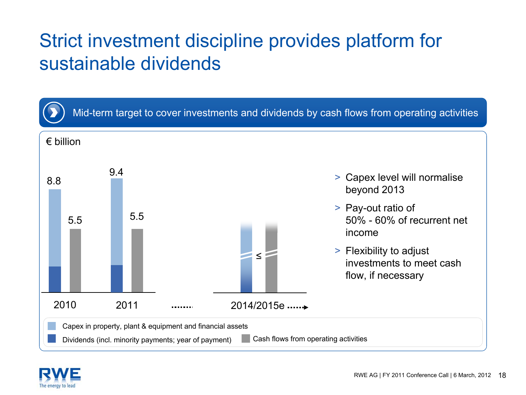### Strict investment discipline provides platform for sustainable dividends



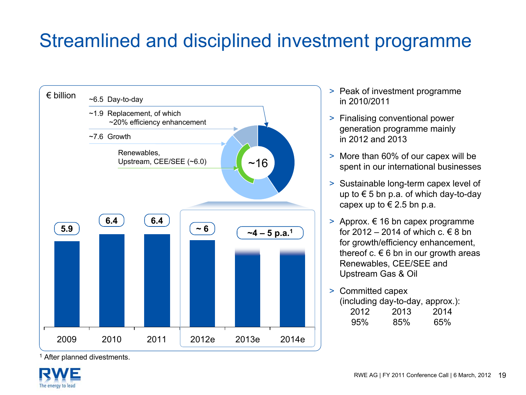### Streamlined and disciplined investment programme



- > Peak of investment programme in 2010/2011
- > Finalising conventional power generation programme mainly in 2012 and 2013
- > More than 60% of our capex will be spent in our international businesses
- > Sustainable long-term capex level of up to € 5 bn p.a. of which day-to-day capex up to  $\in$  2.5 bn p.a.
- > Approx. € 16 bn capex programme for 2012 – 2014 of which  $c \notin 8$  bn for growth/efficiency enhancement, thereof c.  $\epsilon$  6 bn in our growth areas Renewables, CEE/SEE and Upstream Gas & Oil
- > Committed capex (including day-to-day, approx.): 2012 2013 201495% 85% 65%

<sup>1</sup> After planned divestments.

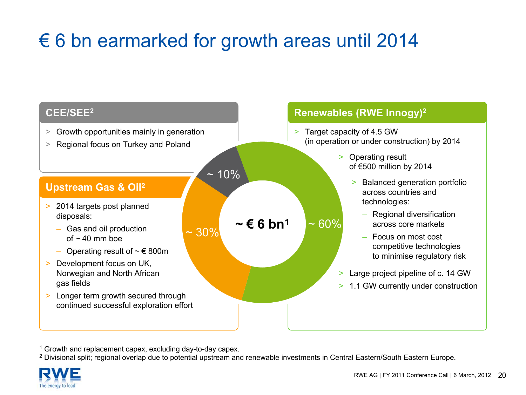### € 6 bn earmarked for growth areas until 2014

- > Growth opportunities mainly in generation
- > Regional focus on Turkey and Poland

#### **Upstream Gas & Oil2**

- > 2014 targets post planned disposals:
	- Gas and oil production of  $\sim$  40 mm boe
	- $-$  Operating result of ∼ € 800m
- > Development focus on UK, Norwegian and North African gas fields
- > Longer term growth secured through continued successful exploration effort

 $~10\%$ 

 $\sim$  30%

 $\sim$  $\epsilon$  **6** bn<sup>1</sup> ~ 60%

#### **Renewables (RWE Innogy) CEE/SEE2 <sup>2</sup>**

- > Target capacity of 4.5 GW (in operation or under construction) by 2014
	- > Operating result of €500 million by 2014
		- $>$  Balanced generation portfolio across countries and technologies:
			- Regional diversification across core markets
			- Focus on most cost competitive technologies to minimise regulatory risk
	- > Large project pipeline of c. 14 GW
	- > 1.1 GW currently under construction

<sup>1</sup> Growth and replacement capex, excluding day-to-day capex.

 $^2$  Divisional split; regional overlap due to potential upstream and renewable investments in Central Eastern/South Eastern Europe.

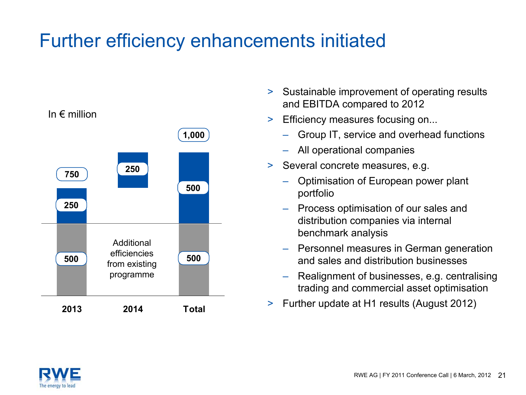### Further efficiency enhancements initiated



In  $\epsilon$  million

- > Sustainable improvement of operating results and EBITDA compared to 2012
- $>$  Efficiency measures focusing on...
	- Group IT, service and overhead functions
	- All operational companies
- > Several concrete measures, e.g.
	- Optimisation of European power plant portfolio
	- – Process optimisation of our sales and distribution companies via internal benchmark analysis
	- – Personnel measures in German generation and sales and distribution businesses
	- – Realignment of businesses, e.g. centralising trading and commercial asset optimisation
- >Further update at H1 results (August 2012) **<sup>2013</sup> <sup>2014</sup> Total**

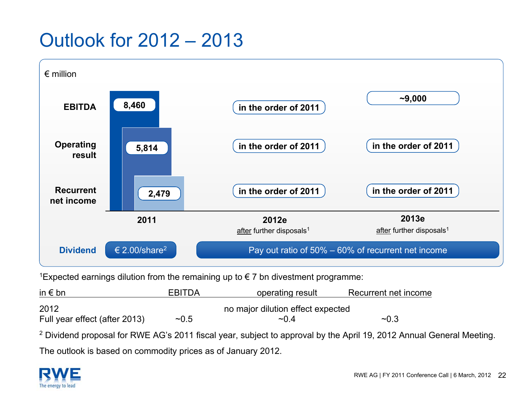### Outlook for 2012 – 2013



<sup>1</sup>Expected earnings dilution from the remaining up to €7 bn divestment programme:

| in $\epsilon$ bn              | <b>EBITDA</b> | operating result                  | Recurrent net income |
|-------------------------------|---------------|-----------------------------------|----------------------|
| 2012                          |               | no major dilution effect expected |                      |
| Full year effect (after 2013) | ~10.5         | $\sim$ 0.4                        | ~10.3                |

<sup>2</sup> Dividend proposal for RWE AG's 2011 fiscal year, subject to approval by the April 19, 2012 Annual General Meeting. The outlook is based on commodity prices as of January 2012.

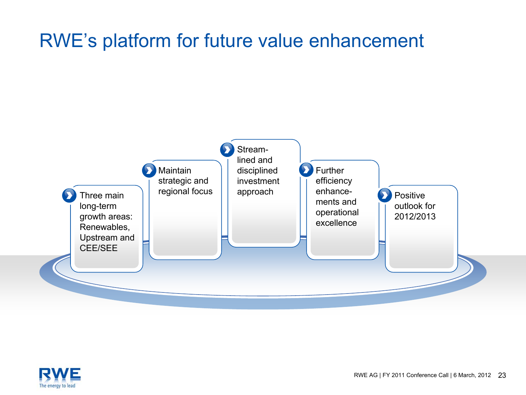### RWE's platform for future value enhancement



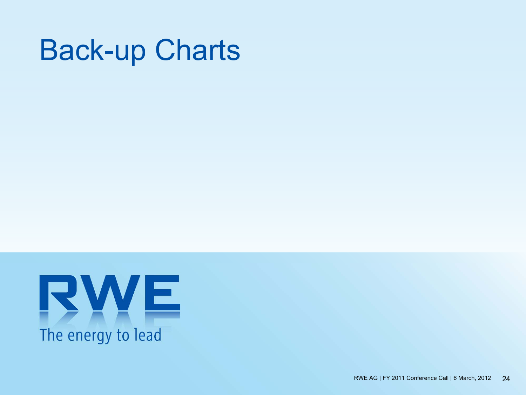# Back-up Charts

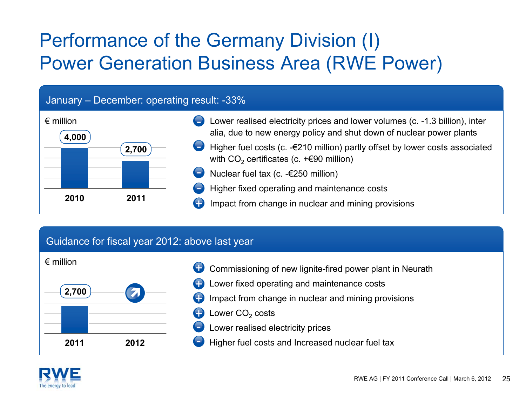### Performance of the Germany Division (I) Power Generation Business Area (RWE Power)

#### January – December: operating result: -33%



#### Guidance for fiscal year 2012: above last year



- Commissioning of new lignite-fired power plant in Neurath +
- Lower fixed operating and maintenance costs +
- Impact from change in nuclear and mining provisions +
- Lower CO $_{\rm 2}$  costs +
- Lower realised electricity prices
- Higher fuel costs and Increased nuclear fuel tax -

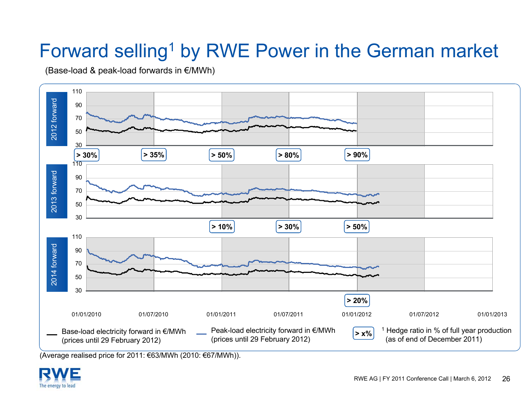### Forward selling<sup>1</sup> by RWE Power in the German market

(Base-load & peak-load forwards in €/MWh)



(Average realised price for 2011: €63/MWh (2010: €67/MWh)).

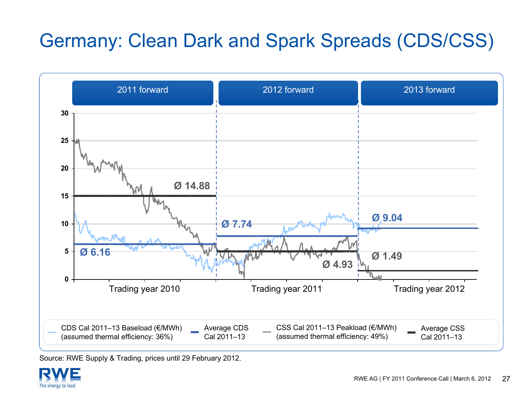### Germany: Clean Dark and Spark Spreads (CDS/CSS)



Source: RWE Supply & Trading, prices until 29 February 2012.

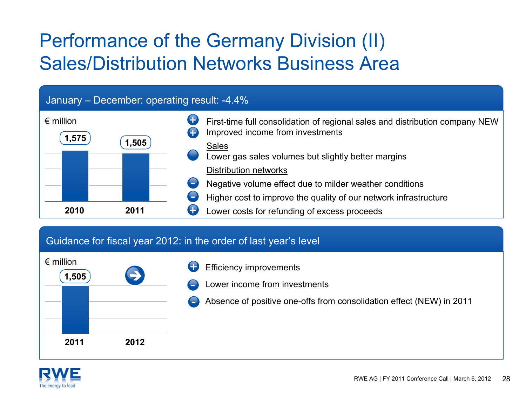### Performance of the Germany Division (II) Sales/Distribution Networks Business Area

#### January – December: operating result: -4.4%



#### Guidance for fiscal year 2012: in the order of last year's level



- Efficiency improvements +
- Lower income from investments
- Absence of positive one-offs from consolidation effect (NEW) in 2011 -

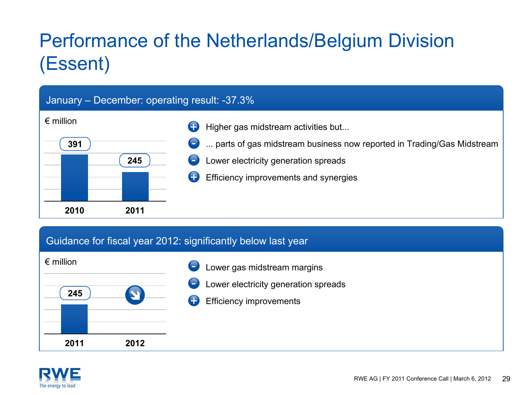# Performance of the Netherlands/Belgium Division (Essent)

#### January – December: operating result: -37.3%



#### Guidance for fiscal year 2012: significantly below last year



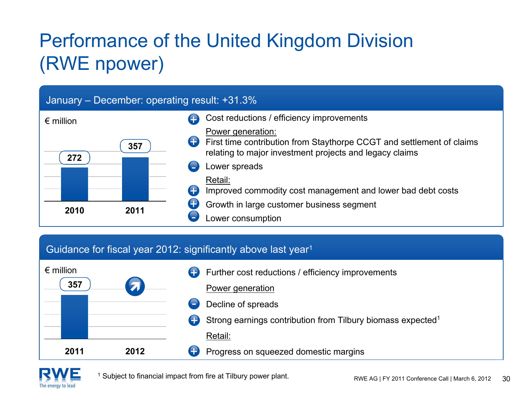# Performance of the United Kingdom Division (RWE npower)

#### January – December: operating result: +31.3%



#### Guidance for fiscal year 2012: significantly above last year<sup>1</sup>





<sup>1</sup> Subject to financial impact from fire at Tilbury power plant.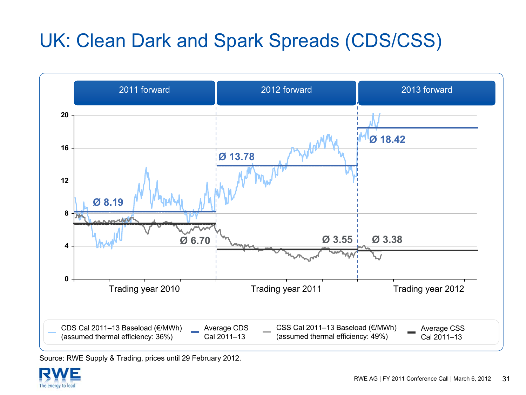### UK: Clean Dark and Spark Spreads (CDS/CSS)



Source: RWE Supply & Trading, prices until 29 February 2012.

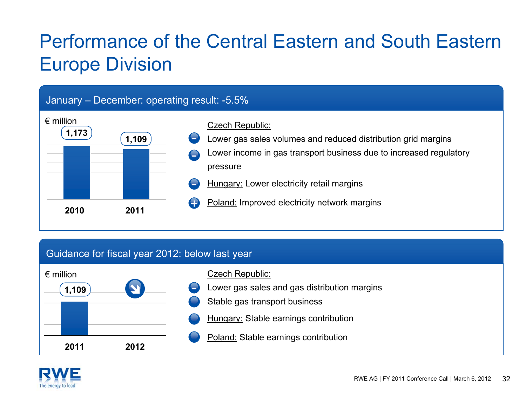### Performance of the Central Eastern and South Eastern Europe Division

#### January – December: operating result: -5.5%



#### Guidance for fiscal year 2012: below last year



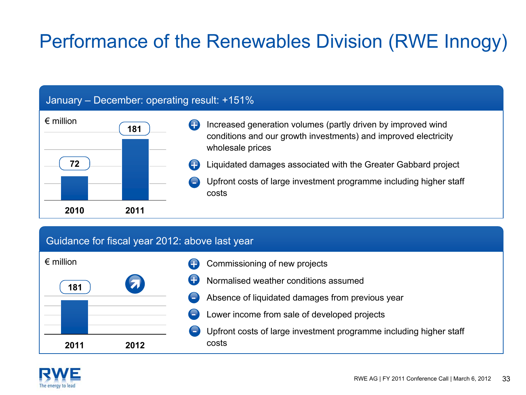### Performance of the Renewables Division (RWE Innogy)

#### January – December: operating result: +151%



#### Guidance for fiscal year 2012: above last year

| $\epsilon$ million |            |
|--------------------|------------|
| 181                | $\sqrt{7}$ |
|                    |            |
|                    |            |
| 2011               | 2012       |

- Commissioning of new projects +
- Normalised weather conditions assumed+
- Absence of liquidated damages from previous year
- Lower income from sale of developed projects
- Upfront costs of large investment programme including higher staff costs

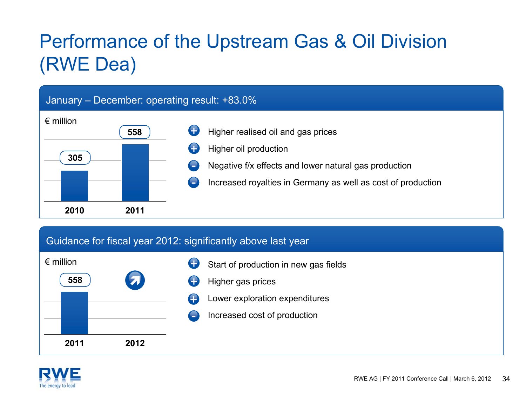# Performance of the Upstream Gas & Oil Division (RWE Dea)

#### January – December: operating result: +83.0%



#### Guidance for fiscal year 2012: significantly above last year



|  | Start of production in new gas fields |  |
|--|---------------------------------------|--|
|--|---------------------------------------|--|

- Higher gas prices +
- Lower exploration expenditures +
	- Increased cost of production

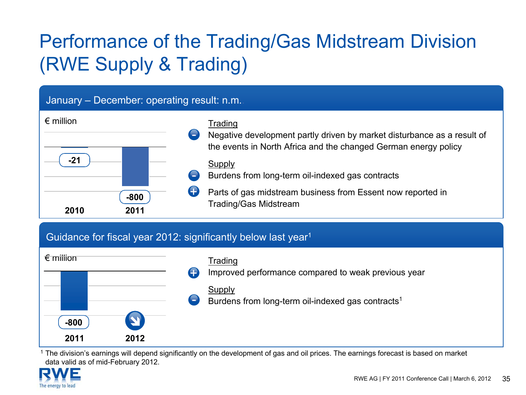# Performance of the Trading/Gas Midstream Division (RWE Supply & Trading)

#### January – December: operating result: n.m..

| $\epsilon$ million     | ÷ | Trading<br>Negative development partly driven by market disturbance as a result of                                            |
|------------------------|---|-------------------------------------------------------------------------------------------------------------------------------|
|                        |   | the events in North Africa and the changed German energy policy<br>Supply<br>Burdens from long-term oil-indexed gas contracts |
| $-800$<br>2011<br>2010 |   | Parts of gas midstream business from Essent now reported in<br><b>Trading/Gas Midstream</b>                                   |

#### Guidance for fiscal year 2012: significantly below last year<sup>1</sup>



1 The division's earnings will depend significantly on the development of gas and oil prices. The earnings forecast is based on market data valid as of mid-February 2012.

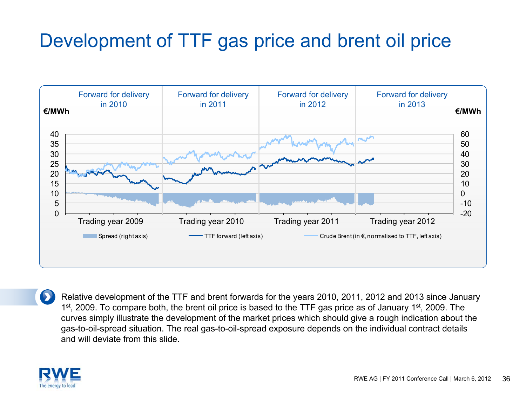### Development of TTF gas price and brent oil price



Relative development of the TTF and brent forwards for the years 2010, 2011, 2012 and 2013 since January 1<sup>st</sup>, 2009. To compare both, the brent oil price is based to the TTF gas price as of January 1<sup>st</sup>, 2009. The curves simply illustrate the development of the market prices which should give a rough indication about the gas-to-oil-spread situation. The real gas-to-oil-spread exposure depends on the individual contract details and will deviate from this slide.

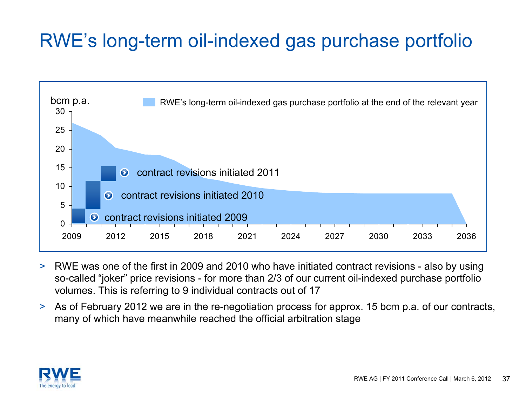### RWE's long-term oil-indexed gas purchase portfolio



- $\geq$  RWE was one of the first in 2009 and 2010 who have initiated contract revisions - also by using so-called "joker" price revisions - for more than 2/3 of our current oil-indexed purchase portfolio volumes. This is referring to 9 individual contracts out of 17
- > As of February 2012 we are in the re-negotiation process for approx. 15 bcm p.a. of our contracts, many of which have meanwhile reached the official arbitration stage

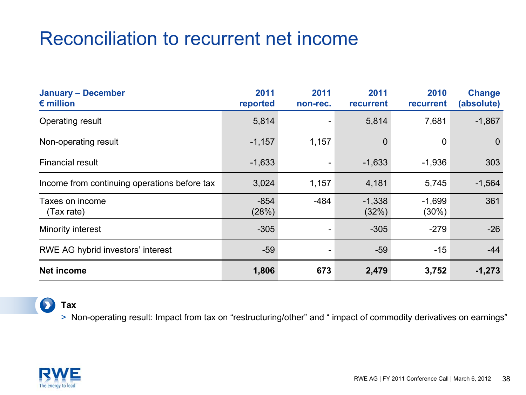### Reconciliation to recurrent net income

| <b>January - December</b><br>$\epsilon$ million | 2011<br>reported | 2011<br>non-rec. | 2011<br>recurrent | 2010<br>recurrent | <b>Change</b><br>(absolute) |
|-------------------------------------------------|------------------|------------------|-------------------|-------------------|-----------------------------|
| Operating result                                | 5,814            |                  | 5,814             | 7,681             | $-1,867$                    |
| Non-operating result                            | $-1,157$         | 1,157            | $\mathbf 0$       | 0                 | 0                           |
| <b>Financial result</b>                         | $-1,633$         |                  | $-1,633$          | $-1,936$          | 303                         |
| Income from continuing operations before tax    | 3,024            | 1,157            | 4,181             | 5,745             | $-1,564$                    |
| Taxes on income<br>(Tax rate)                   | $-854$<br>(28%)  | $-484$           | $-1,338$<br>(32%) | $-1,699$<br>(30%) | 361                         |
| Minority interest                               | $-305$           |                  | $-305$            | $-279$            | $-26$                       |
| RWE AG hybrid investors' interest               | $-59$            |                  | $-59$             | $-15$             | $-44$                       |
| <b>Net income</b>                               | 1,806            | 673              | 2,479             | 3,752             | $-1,273$                    |

#### $\bullet$ **Tax**

> Non-operating result: Impact from tax on "restructuring/other" and " impact of commodity derivatives on earnings"

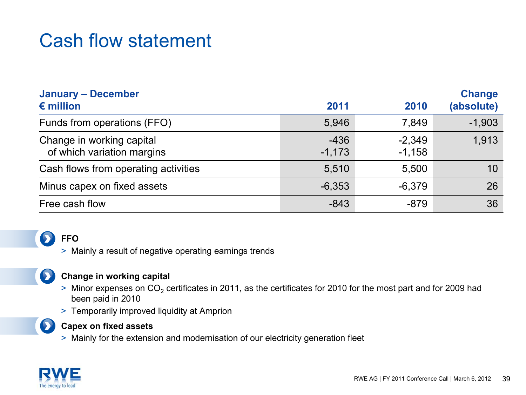### Cash flow statement

| <b>January - December</b>                               |                    | <b>Change</b>        |            |
|---------------------------------------------------------|--------------------|----------------------|------------|
| $\epsilon$ million                                      | 2011               | 2010                 | (absolute) |
| Funds from operations (FFO)                             | 5,946              | 7,849                | $-1,903$   |
| Change in working capital<br>of which variation margins | $-436$<br>$-1,173$ | $-2,349$<br>$-1,158$ | 1,913      |
| Cash flows from operating activities                    | 5,510              | 5,500                | 10         |
| Minus capex on fixed assets                             | $-6,353$           | $-6,379$             | 26         |
| Free cash flow                                          | $-843$             | $-879$               | 36         |

### **FFO**

> Mainly a result of negative operating earnings trends

### $\mathbf{\Sigma}$

#### **Change in working capital**

- $> \,$  Minor expenses on  $\mathrm{CO}_2$  certificates in 2011, as the certificates for 2010 for the most part and for 2009 had been paid in 2010
- > Temporarily improved liquidity at Amprion



#### **Capex on fixed assets**

> Mainly for the extension and modernisation of our electricity generation fleet

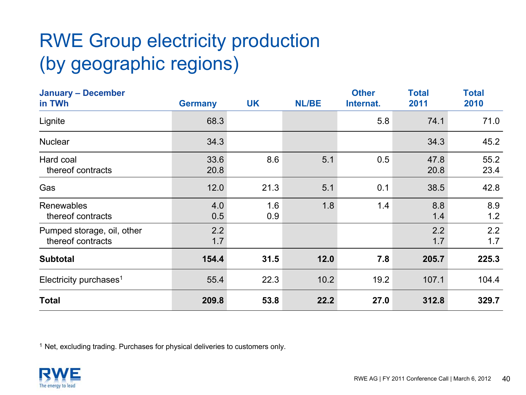# RWE Group electricity production (by geographic regions)

| <b>January - December</b><br>in TWh             | <b>Germany</b> | <b>UK</b>  | <b>NL/BE</b> | <b>Other</b><br>Internat. | <b>Total</b><br>2011 | <b>Total</b><br>2010 |
|-------------------------------------------------|----------------|------------|--------------|---------------------------|----------------------|----------------------|
| Lignite                                         | 68.3           |            |              | 5.8                       | 74.1                 | 71.0                 |
| <b>Nuclear</b>                                  | 34.3           |            |              |                           | 34.3                 | 45.2                 |
| Hard coal<br>thereof contracts                  | 33.6<br>20.8   | 8.6        | 5.1          | 0.5                       | 47.8<br>20.8         | 55.2<br>23.4         |
| Gas                                             | 12.0           | 21.3       | 5.1          | 0.1                       | 38.5                 | 42.8                 |
| Renewables<br>thereof contracts                 | 4.0<br>0.5     | 1.6<br>0.9 | 1.8          | 1.4                       | 8.8<br>1.4           | 8.9<br>1.2           |
| Pumped storage, oil, other<br>thereof contracts | 2.2<br>1.7     |            |              |                           | 2.2<br>1.7           | 2.2<br>1.7           |
| <b>Subtotal</b>                                 | 154.4          | 31.5       | 12.0         | 7.8                       | 205.7                | 225.3                |
| Electricity purchases <sup>1</sup>              | 55.4           | 22.3       | 10.2         | 19.2                      | 107.1                | 104.4                |
| <b>Total</b>                                    | 209.8          | 53.8       | 22.2         | 27.0                      | 312.8                | 329.7                |

<sup>1</sup> Net, excluding trading. Purchases for physical deliveries to customers only.

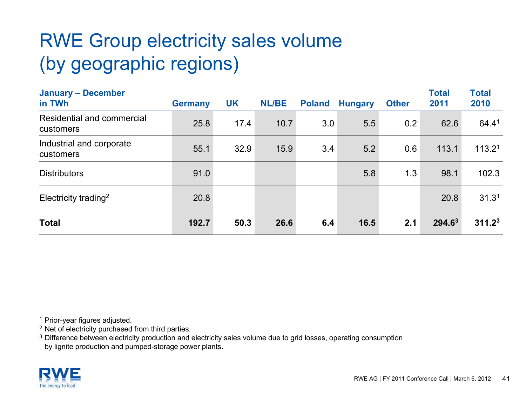# RWE Group electricity sales volume (by geographic regions)

| <b>January - December</b><br>in TWh     | <b>Germany</b> | <b>UK</b> | <b>NL/BE</b> | <b>Poland</b> | <b>Hungary</b> | <b>Other</b> | <b>Total</b><br>2011 | <b>Total</b><br>2010 |
|-----------------------------------------|----------------|-----------|--------------|---------------|----------------|--------------|----------------------|----------------------|
| Residential and commercial<br>customers | 25.8           | 17.4      | 10.7         | 3.0           | 5.5            | 0.2          | 62.6                 | 64.41                |
| Industrial and corporate<br>customers   | 55.1           | 32.9      | 15.9         | 3.4           | 5.2            | 0.6          | 113.1                | 113.2 <sup>1</sup>   |
| <b>Distributors</b>                     | 91.0           |           |              |               | 5.8            | 1.3          | 98.1                 | 102.3                |
| Electricity trading <sup>2</sup>        | 20.8           |           |              |               |                |              | 20.8                 | 31.3 <sup>1</sup>    |
| <b>Total</b>                            | 192.7          | 50.3      | 26.6         | 6.4           | 16.5           | 2.1          | 294.63               | 311.2 <sup>3</sup>   |

<sup>1</sup> Prior-year figures adjusted.

 $2$  Net of electricity purchased from third parties.

 $3$  Difference between electricity production and electricity sales volume due to grid losses, operating consumption by lignite production and pumped-storage power plants.

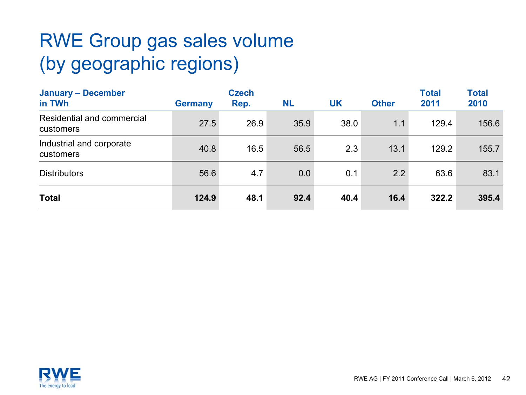# RWE Group gas sales volume (by geographic regions)

| <b>January - December</b><br>in TWh     | <b>Germany</b> | <b>Czech</b><br>Rep. | <b>NL</b> | <b>UK</b> | <b>Other</b> | <b>Total</b><br>2011 | <b>Total</b><br>2010 |
|-----------------------------------------|----------------|----------------------|-----------|-----------|--------------|----------------------|----------------------|
| Residential and commercial<br>customers | 27.5           | 26.9                 | 35.9      | 38.0      | 1.1          | 129.4                | 156.6                |
| Industrial and corporate<br>customers   | 40.8           | 16.5                 | 56.5      | 2.3       | 13.1         | 129.2                | 155.7                |
| <b>Distributors</b>                     | 56.6           | 4.7                  | 0.0       | 0.1       | 2.2          | 63.6                 | 83.1                 |
| <b>Total</b>                            | 124.9          | 48.1                 | 92.4      | 40.4      | 16.4         | 322.2                | 395.4                |

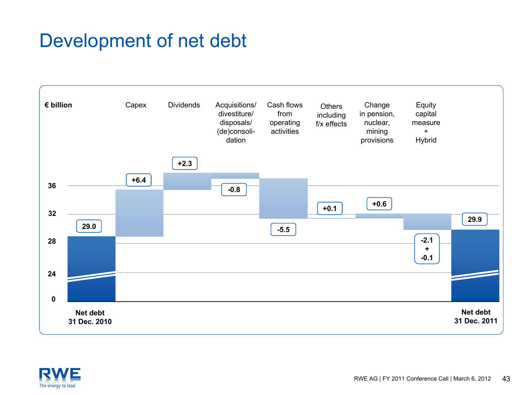### Development of net debt



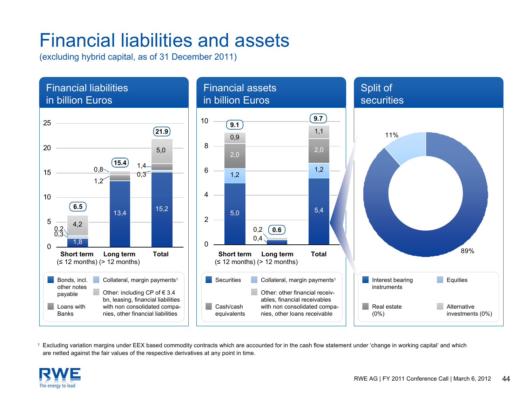### Financial liabilities and assets

(excluding hybrid capital, as of 31 December 2011)



1 Excluding variation margins under EEX based commodity contracts which are accounted for in the cash flow statement under 'change in working capital' and which are netted against the fair values of the respective derivatives at any point in time.

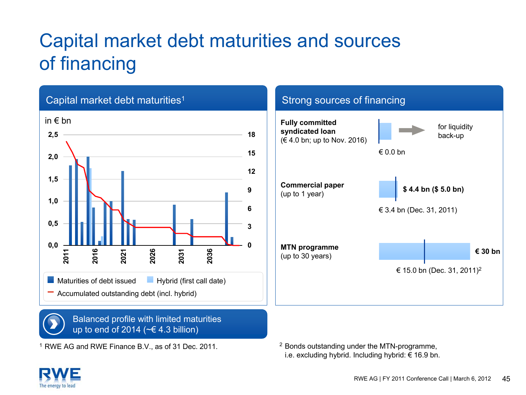# Capital market debt maturities and sources of financing



1 RWE AG and RWE Finance B.V., as of 31 Dec. 2011.

<sup>2</sup> Bonds outstanding under the MTN-programme, i.e. excluding hybrid. Including hybrid: € 16.9 bn.

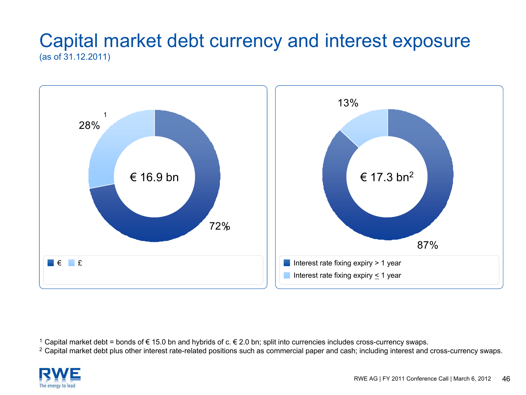### Capital market debt currency and interest exposure (as of 31.12.2011)



 $^1$  Capital market debt = bonds of € 15.0 bn and hybrids of c. € 2.0 bn; split into currencies includes cross-currency swaps.

<sup>2</sup> Capital market debt plus other interest rate-related positions such as commercial paper and cash; including interest and cross-currency swaps.

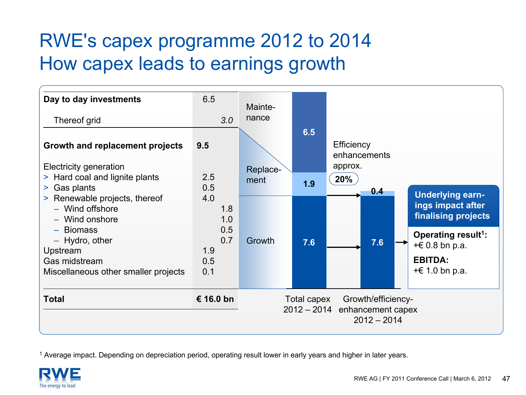### RWE's capex programme 2012 to 2014 How capex leads to earnings growth



1 Average impact. Depending on depreciation period, operating result lower in early years and higher in later years.

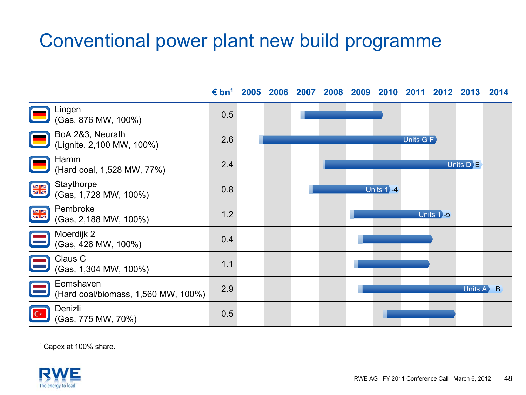### Conventional power plant new build programme

**€ bn<sup>1</sup> 2005 2006 2007 2008 2009 2010 2011 2012 2013 2014** Lingen (Gas, 876 MW, 100%) 0.5 BoA 2&3, Neurath (Lignite, 2,100 MW, 100%) 2.6 Units G FHamm (Hard coal, 1,528 MW, 77%) 2.4 Units D **E Staythorpe NK** Gas, 1,728 MW, 100%) 0.8 Units 1**`** 4 Pembroke VZ rembroke<br>(Gas, 2,188 MW, 100%) 1.2 Units 1**⊱5 ZIN** Moerdijk 2  $(Cas, 426 \text{ MW}, 100\%)$  0.4 Claus C  $\frac{1}{1}$  (Gas, 1,304 MW, 100%) 1.1 Eemshaven(Hard coal/biomass, 1,560 MW, 100%) 2.9 Units A B Denizli(Gas, 775 MW, 70%) 0.5

1 Capex at 100% share.

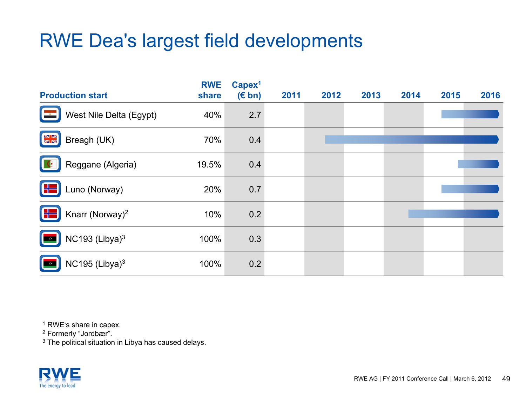### RWE Dea's largest field developments

| <b>Production start</b>           | <b>RWE</b><br>share | Capex <sup>1</sup><br>$(E \, bn)$ | 2011 | 2012 | 2013 | 2014 | 2015 | 2016 |
|-----------------------------------|---------------------|-----------------------------------|------|------|------|------|------|------|
| West Nile Delta (Egypt)           | 40%                 | 2.7                               |      |      |      |      |      |      |
| $\frac{N}{2K}$<br>Breagh (UK)     | 70%                 | 0.4                               |      |      |      |      |      |      |
| Reggane (Algeria)                 | 19.5%               | 0.4                               |      |      |      |      |      |      |
| $\oplus$<br>Luno (Norway)         | 20%                 | 0.7                               |      |      |      |      |      |      |
| Knarr (Norway) <sup>2</sup><br>╬═ | 10%                 | 0.2                               |      |      |      |      |      |      |
| NC193 $(Libya)^3$                 | 100%                | 0.3                               |      |      |      |      |      |      |
| NC195 (Libya) $3$                 | 100%                | 0.2                               |      |      |      |      |      |      |

<sup>1</sup> RWE's share in capex.

2 Formerly "Jordbær".

 $^3$  The political situation in Libya has caused delays.

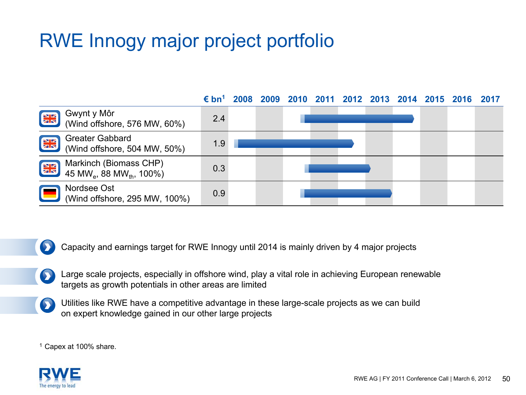### RWE Innogy major project portfolio



Capacity and earnings target for RWE Innogy until 2014 is mainly driven by 4 major projects  $\bullet$ 

Large scale projects, especially in offshore wind, play a vital role in achieving European renewable  $\bullet$ targets as growth potentials in other areas are limited

Utilities like RWE have a competitive advantage in these large-scale projects as we can build on expert knowledge gained in our other large projects

1 Capex at 100% share.

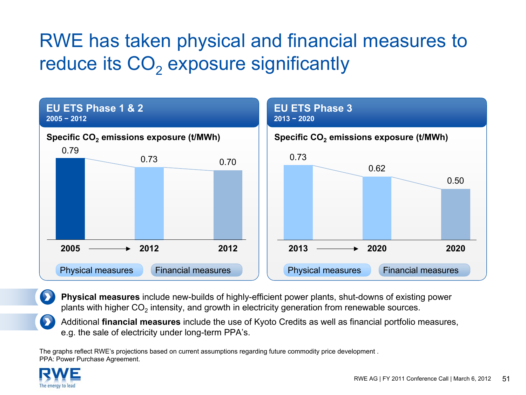# RWE has taken physical and financial measures to reduce its CO $_{\rm 2}$  exposure significantly



**Physical measures** include new-builds of highly-efficient power plants, shut-downs of existing power plants with higher CO<sub>2</sub> intensity, and growth in electricity generation from renewable sources.

Additional **financial measures** include the use of Kyoto Credits as well as financial portfolio measures, e.g. the sale of electricity under long-term PPA's.

The graphs reflect RWE's projections based on current assumptions regarding future commodity price development . PPA: Power Purchase Agreement.

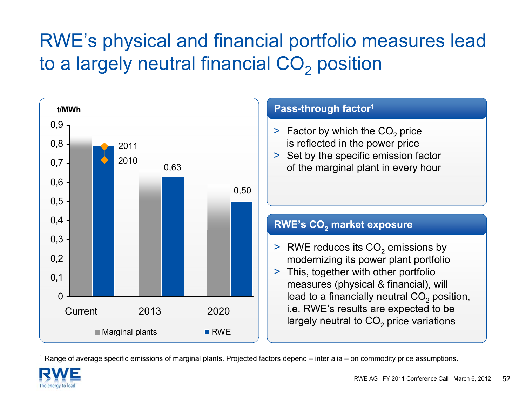# RWE's physical and financial portfolio measures lead to a largely neutral financial CO $_2$  position



#### 1 Range of average specific emissions of marginal plants. Projected factors depend – inter alia – on commodity price assumptions.

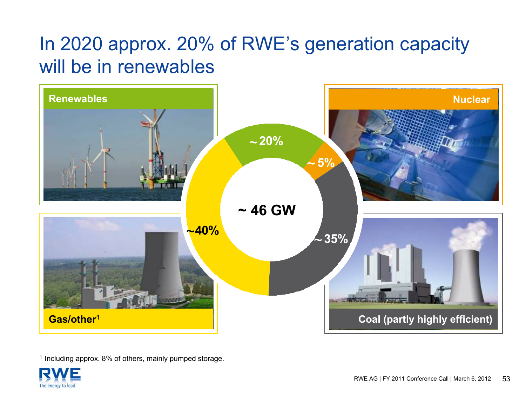### In 2020 approx. 20% of RWE's generation capacity will be in renewables



<sup>1</sup> Including approx. 8% of others, mainly pumped storage.